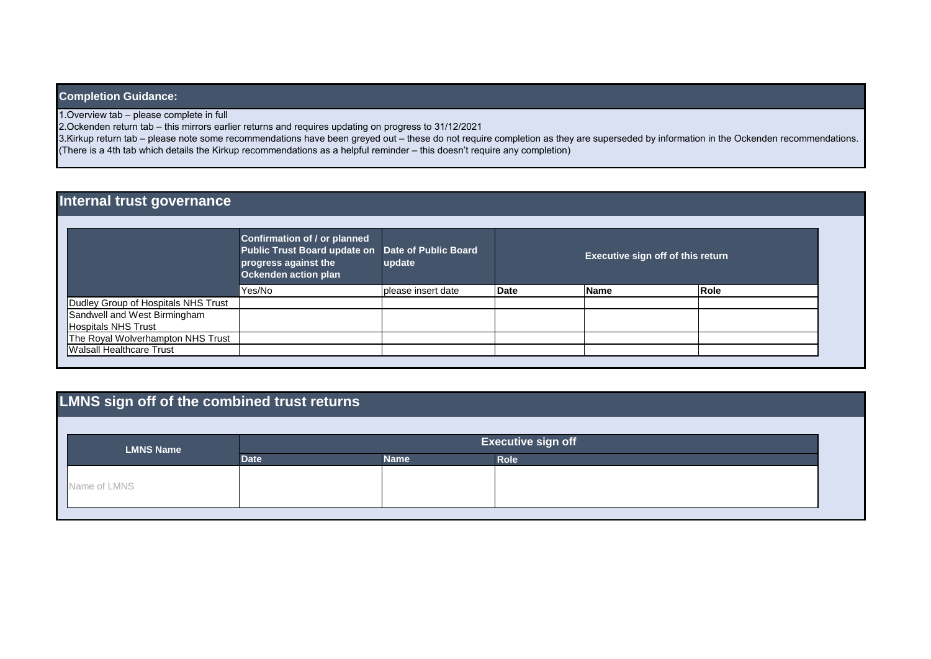### **Completion Guidance:**

1. Overview tab – please complete in full

2. Ockenden return tab – this mirrors earlier returns and requires updating on progress to 31/12/2021

3. Kirkup return tab – please note some recommendations have been greyed out – these do not require completion as they are superseded by information in the Ockenden recommendations. (There is a 4th tab which details the Kirkup recommendations as a helpful reminder – this doesn't require any completion)

## **Internal trust governance**

|                                     | <b>Confirmation of / or planned</b><br>Public Trust Board update on Date of Public Board<br>progress against the<br>Ockenden action plan | update             |      | <b>Executive sign off of this return</b> |      |  |
|-------------------------------------|------------------------------------------------------------------------------------------------------------------------------------------|--------------------|------|------------------------------------------|------|--|
|                                     | Yes/No                                                                                                                                   | please insert date | Date | <b>Name</b>                              | Role |  |
| Dudley Group of Hospitals NHS Trust |                                                                                                                                          |                    |      |                                          |      |  |
| Sandwell and West Birmingham        |                                                                                                                                          |                    |      |                                          |      |  |
| Hospitals NHS Trust                 |                                                                                                                                          |                    |      |                                          |      |  |
| The Royal Wolverhampton NHS Trust   |                                                                                                                                          |                    |      |                                          |      |  |
| <b>Walsall Healthcare Trust</b>     |                                                                                                                                          |                    |      |                                          |      |  |

# **LMNS sign off of the combined trust returns**

| <b>LMNS Name</b> | <b>Executive sign off</b> |             |             |  |
|------------------|---------------------------|-------------|-------------|--|
|                  | <b>Date</b>               | <b>Name</b> | <b>Role</b> |  |
|                  |                           |             |             |  |
| Name of LMNS     |                           |             |             |  |
|                  |                           |             |             |  |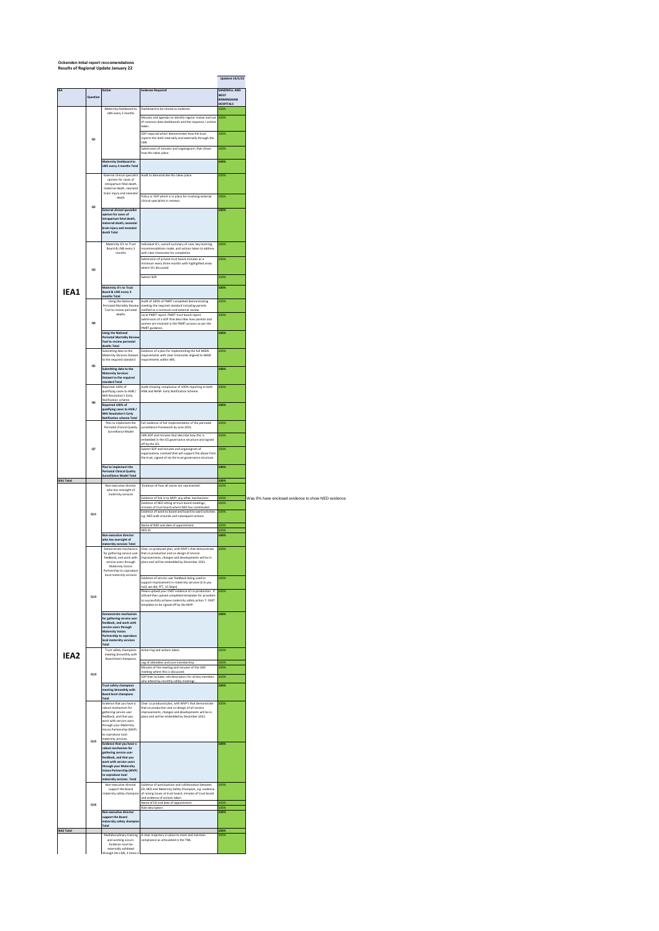#### **Ockenden Inital report reccomendations Results of Regional Update January 22**

|                   |         |                                                                                         |                                                                                                                                                             | <b>Updated 19/3/22</b>         |                                                    |
|-------------------|---------|-----------------------------------------------------------------------------------------|-------------------------------------------------------------------------------------------------------------------------------------------------------------|--------------------------------|----------------------------------------------------|
| <b>IEA</b>        |         | Action                                                                                  | <b>Evidence Required</b>                                                                                                                                    | SANDWELL AND<br><b>WEST</b>    |                                                    |
|                   | Questio |                                                                                         |                                                                                                                                                             | BIRMINGHAM<br><b>HOSPITALS</b> |                                                    |
|                   |         | Maternity Dashboard to<br>LMS every 3 months                                            | Dashboard to be shared as evidence.<br>Minutes and agendas to identify regular review and use                                                               | າດດ<br>100%                    |                                                    |
|                   |         |                                                                                         | of common data dashboards and the response / action:<br>taken                                                                                               |                                |                                                    |
|                   | Q1      |                                                                                         | SOP required which demonstrates how the trust<br>reports this both internally and externally through the                                                    | 100%                           |                                                    |
|                   |         |                                                                                         | <b>ZMI</b><br>Submission of minutes and organogram, that shows                                                                                              | 100%                           |                                                    |
|                   |         | Maternity Dashboard to                                                                  | how this takes place.                                                                                                                                       | 100%                           |                                                    |
|                   |         | LMS every 3 months Tota                                                                 |                                                                                                                                                             |                                |                                                    |
|                   |         | <b>External clinical specialist</b><br>opinion for cases of<br>intrapartum fetal death. | Audit to demonstrate this takes place.                                                                                                                      | 100%                           |                                                    |
|                   |         | maternal death, neonatal<br>brain injury and neonatal                                   |                                                                                                                                                             |                                |                                                    |
|                   |         | death                                                                                   | Policy or SOP which is in place for involving external<br>clinical specialists in reviews.                                                                  | 100%                           |                                                    |
|                   | Q2      | <b>External clinical specialist</b><br>opinion for cases of                             |                                                                                                                                                             | 100%                           |                                                    |
|                   |         | intrapartum fetal death,<br>maternal death, neonatal                                    |                                                                                                                                                             |                                |                                                    |
|                   |         | brain injury and neonatal<br>death Total                                                |                                                                                                                                                             |                                |                                                    |
|                   |         | Maternity SI's to Trust<br>Board & LMS every 3                                          | Individual SI's, overall summary of case, key learning,<br>ecommendations made, and actions taken to address                                                | 100%                           |                                                    |
|                   |         | months                                                                                  | with clear timescales for completion<br>Submission of private trust board minutes as a                                                                      | 100%                           |                                                    |
|                   | Q3      |                                                                                         | minimum every three months with highlighted areas<br>where SI's discussed                                                                                   |                                |                                                    |
|                   |         |                                                                                         | ubmit SOF                                                                                                                                                   | 100%                           |                                                    |
| IEA1              |         | Maternity SI's to Trust<br>Board & LMS every 3                                          |                                                                                                                                                             | 100%                           |                                                    |
|                   |         | nths Total<br>Using the National<br>Perinatal Mortality Review                          | Audit of 100% of PMRT completed demonstrating<br>meeting the required standard including parents                                                            | 100%                           |                                                    |
|                   |         | Tool to review perinatal<br>deaths                                                      | notified as a minimum and external revi-<br>Local PMRT report. PMRT trust board report.                                                                     | 100%                           |                                                    |
|                   | Q4      |                                                                                         | Submission of a SOP that describes how parents and<br>women are involved in the PMRT process as per the<br>PMRT guidance.                                   |                                |                                                    |
|                   |         | <b>Using the National</b><br><b>Perinatal Mortality Review</b>                          |                                                                                                                                                             | 100%                           |                                                    |
|                   |         | Tool to review perinatal<br>deaths Total                                                |                                                                                                                                                             |                                |                                                    |
|                   |         | Submitting data to the<br>Maternity Services Dataset<br>to the required standard        | Evidence of a plan for implementing the full MSDS<br>requirements with clear timescales aligned to NHSR<br>requirements within MIS.                         | 100%                           |                                                    |
|                   | QS      | Submitting data to the                                                                  |                                                                                                                                                             | 100%                           |                                                    |
|                   |         | <b>Maternity Services</b><br>Dataset to the required<br>standard Total                  |                                                                                                                                                             |                                |                                                    |
|                   |         | Reported 100% of<br>qualifying cases to HSIB /                                          | Audit showing compliance of 100% reporting to both<br>HSIB and NHSR Early Notification Scheme.                                                              | 100%                           |                                                    |
|                   | O6      | NHS Resolution's Early<br>Notification scheme<br>Reported 100% of                       |                                                                                                                                                             | 100%                           |                                                    |
|                   |         | qualifying cases to HSIB /<br><b>NHS Resolution's Early</b>                             |                                                                                                                                                             |                                |                                                    |
|                   |         | <b>Notification scheme Tota</b><br>Plan to implement the<br>Perinatal Clinical Quality  | Full evidence of full implementation of the perinatal                                                                                                       | 100%                           |                                                    |
|                   |         | Surveillance Model                                                                      | surveillance framework by June 2021.<br>LMS SOP and minutes that describe how this is                                                                       | 100%                           |                                                    |
|                   | Q7      |                                                                                         | embedded in the ICS governance structure and signed<br>off by the ICS.<br>Submit SOP and minutes and organogram of                                          | 100%                           |                                                    |
|                   |         |                                                                                         | organisations involved that will support the above from<br>the trust, signed of via the trust governance structure.                                         |                                |                                                    |
|                   |         | Plan to implement the<br><b>Perinatal Clinical Quality</b>                              |                                                                                                                                                             | 100%                           |                                                    |
| <b>IEA1 Total</b> |         | Surveillance Model Total                                                                |                                                                                                                                                             |                                |                                                    |
|                   |         |                                                                                         |                                                                                                                                                             | 100%                           |                                                    |
|                   |         | Non-executive director<br>who has oversight of                                          | Evidence of how all voices are represented:                                                                                                                 | 100                            |                                                    |
|                   |         | maternity services                                                                      | Evidence of link in to MVP; any other mechanisms<br>Evidence of NED sitting at trust board meetings,                                                        | 100%<br>100%                   |                                                    |
|                   | Q11     |                                                                                         | minutes of trust board where NED has contributed<br>Evidence of ward to board and board to ward activities                                                  | 100%                           |                                                    |
|                   |         |                                                                                         | e.g. NED walk arounds and subsequent actions<br>Name of NED and date of appointment                                                                         | 100)                           |                                                    |
|                   |         | Non-executive director                                                                  | NED JD                                                                                                                                                      | 100<br>100%                    |                                                    |
|                   |         | who has oversight of<br>maternity services Total<br>Demonstrate mechanism               | lear co-produced plan, with MVP's that demonstrate                                                                                                          | 100%                           |                                                    |
|                   |         | for gathering service user<br>feedback, and work with                                   | that co production and co-design of service<br>improvements, changes and developments will be in                                                            |                                |                                                    |
|                   |         | service users through<br>Maternity Voices<br>Partnership to coproduce                   | place and will be embedded by December 2021.                                                                                                                |                                |                                                    |
|                   |         | local maternity services                                                                | Evidence of service user feedback being used to<br>support improvement in maternity services (E.G you                                                       | 100%                           |                                                    |
|                   |         |                                                                                         | said, we did, FFT, 15 Steps)<br>Please upload your CNST evidence of co-production. If                                                                       | 100%                           |                                                    |
|                   | Q13     |                                                                                         | utilised then upload completed templates for providers<br>to successfully achieve maternity safety action 7. CNST<br>templates to be signed off by the MVP. |                                |                                                    |
|                   |         | Demonstrate mechanism                                                                   |                                                                                                                                                             | 100%                           |                                                    |
|                   |         | for gathering service user<br>feedback, and work with<br>service users through          |                                                                                                                                                             |                                |                                                    |
|                   |         | Maternity Voices<br>Partnership to coproduce                                            |                                                                                                                                                             |                                |                                                    |
|                   |         | local maternity services<br>Total                                                       |                                                                                                                                                             | 100%                           |                                                    |
| IEA <sub>2</sub>  |         | Trust safety champions<br>meeting bimonthly with<br>Board level champions               | Action log and actions taken.                                                                                                                               |                                |                                                    |
|                   |         |                                                                                         | Log of attendees and core membership.<br>Minutes of the meeting and minutes of the LMS<br>meeting where this is discussed.                                  | 100%<br>100%                   |                                                    |
|                   | 014     |                                                                                         | SOP that includes role descriptors for all key members<br>who attend by-monthly safety meetings                                                             | 100%                           |                                                    |
|                   |         | Trust safety champions<br>meeting bimonthly with                                        |                                                                                                                                                             | 100%                           |                                                    |
|                   |         | <b>Board level champions</b><br>Total<br>Evidence that you have a                       | Clear co produced plan, with MVP's that demonstrate                                                                                                         | 100%                           |                                                    |
|                   |         | robust mechanism for<br>gathering service user                                          | that co-production and co-design of all service<br>improvements, changes and developments will be in                                                        |                                |                                                    |
|                   |         | feedback, and that you<br>work with service users<br>through your Maternity             | place and will be embedded by December 2021.                                                                                                                |                                |                                                    |
|                   |         | Voices Partnership (MVP)<br>to coproduce local                                          |                                                                                                                                                             |                                |                                                    |
|                   | Q15     | maternity services<br>Evidence that you have a<br>robust mechanism for                  |                                                                                                                                                             | 100%                           |                                                    |
|                   |         | gathering service user<br>feedback, and that you                                        |                                                                                                                                                             |                                |                                                    |
|                   |         | work with service users<br>through your Maternity<br><b>Voices Partnership (MVP)</b>    |                                                                                                                                                             |                                |                                                    |
|                   |         | to coproduce local<br>maternity services. Total                                         |                                                                                                                                                             |                                |                                                    |
|                   |         | Non-executive director<br>support the Board                                             | Evidence of participation and collaboration between<br>ED, NED and Maternity Safety Champion, e.g. evidence                                                 | 100%                           |                                                    |
|                   |         | maternity safety champion                                                               | of raising issues at trust board, minutes of trust board<br>and evidence of actions taken<br>Name of ED and date of appointment                             | 100%                           |                                                    |
|                   | Q16     | Non-executive director                                                                  | Role descriptors                                                                                                                                            | 100<br>100%                    |                                                    |
|                   |         | support the Board<br>maternity safety champio                                           |                                                                                                                                                             |                                | Was 0% have enclosed evidence to show NED evidence |
| <b>IEA2 Total</b> |         | Total<br>Multidisciplinary training                                                     | A clear trajectory in place to meet and maintain                                                                                                            | 100%<br>100%                   |                                                    |
|                   |         | and working occurs.<br>Evidence must be<br>externally validated                         | compliance as articulated in the TNA.                                                                                                                       |                                |                                                    |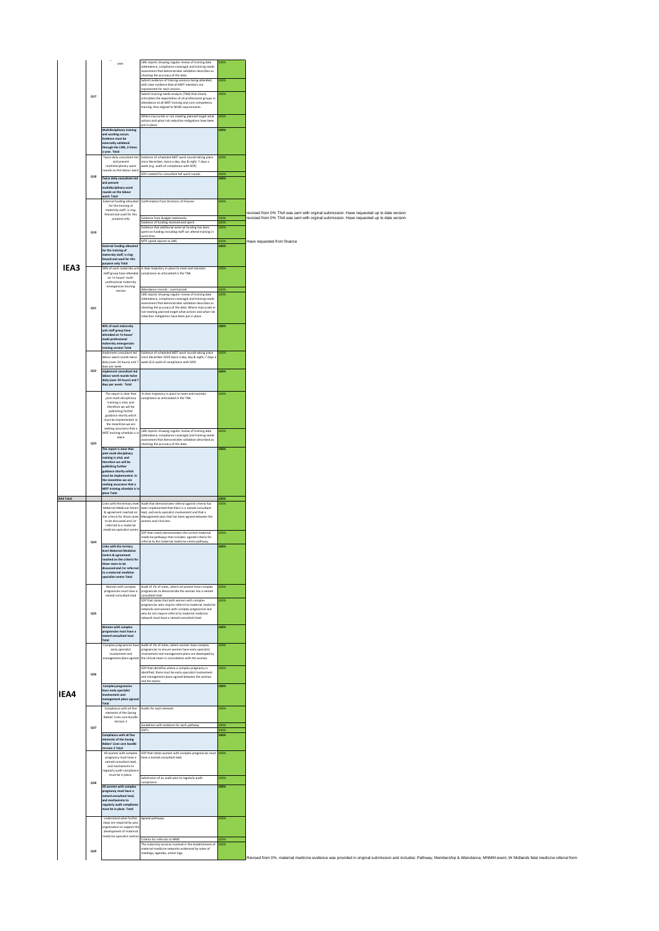|                   |             | year.                                                                                 | LMS reports showing regular review of training data<br>attendance, compliance coverage) and training needs                                                        |                         |                                                                                                                                                                                     |
|-------------------|-------------|---------------------------------------------------------------------------------------|-------------------------------------------------------------------------------------------------------------------------------------------------------------------|-------------------------|-------------------------------------------------------------------------------------------------------------------------------------------------------------------------------------|
|                   |             |                                                                                       | ssessment that demonstrates validation describes as<br>checking the accuracy of the data.                                                                         |                         |                                                                                                                                                                                     |
|                   |             |                                                                                       | Submit evidence of training sessions being attended,<br>with clear evidence that all MDT members are                                                              | 00%                     |                                                                                                                                                                                     |
|                   | Q17         |                                                                                       | represented for each session.<br>Submit training needs analysis (TNA) that clearly                                                                                | 00%                     |                                                                                                                                                                                     |
|                   |             |                                                                                       | irticulates the expectation of all professional groups in<br>ttendance at all MDT training and core competency                                                    |                         |                                                                                                                                                                                     |
|                   |             |                                                                                       | raining. Also aligned to NHSR requirements.<br>Where inaccurate or not meeting planned target what                                                                | 100%                    |                                                                                                                                                                                     |
|                   |             |                                                                                       | ctions and what risk reduction mitigations have been<br>out in place.                                                                                             |                         |                                                                                                                                                                                     |
|                   |             | Multidisciplinary training<br>and working occurs.                                     |                                                                                                                                                                   | 100%                    |                                                                                                                                                                                     |
|                   |             | Evidence must be<br>externally validated                                              |                                                                                                                                                                   |                         |                                                                                                                                                                                     |
|                   |             | through the LMS, 3 times<br>year. Total                                               |                                                                                                                                                                   |                         |                                                                                                                                                                                     |
|                   |             | Twice daily consultant-led<br>and present                                             | Evidence of scheduled MDT ward rounds taking place<br>ince December, twice a day, day & night. 7 days a                                                           | 00%                     |                                                                                                                                                                                     |
|                   |             | multidisciplinary ward<br>sunds on the labour wan                                     | reek (e.g. audit of compliance with SOP)<br>OP created for consultant led ward rounds                                                                             |                         |                                                                                                                                                                                     |
|                   | Q18         | <b>Twice daily consultant-lec</b>                                                     |                                                                                                                                                                   | now                     |                                                                                                                                                                                     |
|                   |             | and present<br>multidisciplinary ward<br>ounds on the labour                          |                                                                                                                                                                   |                         |                                                                                                                                                                                     |
|                   |             | vard. Total<br><b>External funding allocated</b>                                      | Confirmation from Directors of Finance                                                                                                                            | 100%                    |                                                                                                                                                                                     |
|                   |             | for the training of<br>maternity staff, is ring-                                      |                                                                                                                                                                   |                         | revisied from 0% TNA was sent with orginal submission. Have requested up to date version                                                                                            |
|                   |             | fenced and used for this<br>purpose only                                              | vidence from Budget statements.<br>Evidence of funding received and spent.                                                                                        | פסנ<br>LOOM             | revisied from 0% TNA was sent with orginal submission. Have requested up to date version                                                                                            |
|                   | Q19         |                                                                                       | vidence that additional external funding has been<br>pent on funding including staff can attend training in                                                       | 00%                     |                                                                                                                                                                                     |
|                   |             |                                                                                       | vork time.<br>MTP spend reports to LMS                                                                                                                            | 00%                     | Have requested from finance                                                                                                                                                         |
|                   |             | <b>External funding allocates</b><br>for the training of                              |                                                                                                                                                                   | 100%                    |                                                                                                                                                                                     |
|                   |             | naternity staff, is ring<br>enced and used for this                                   |                                                                                                                                                                   |                         |                                                                                                                                                                                     |
| IEA3              |             | purpose only Total<br>90% of each maternity unit                                      | A clear trajectory in place to meet and maintain                                                                                                                  | 00%                     |                                                                                                                                                                                     |
|                   |             | staff group have attended<br>an 'in-house' multi-                                     | ompliance as articulated in the TNA.                                                                                                                              |                         |                                                                                                                                                                                     |
|                   |             | professional maternity<br>emergencies training<br>session                             | Attendance records - summarised                                                                                                                                   | 100%                    |                                                                                                                                                                                     |
|                   |             |                                                                                       | LMS reports showing regular review of training data<br>attendance, compliance coverage) and training needs                                                        | 00%                     |                                                                                                                                                                                     |
|                   | ${\bf Q21}$ |                                                                                       | ssessment that demonstrates validation describes as<br>checking the accuracy of the data. Where inaccurate or                                                     |                         |                                                                                                                                                                                     |
|                   |             |                                                                                       | not meeting planned target what actions and what risk<br>eduction mitigations have been put in place.                                                             |                         |                                                                                                                                                                                     |
|                   |             | 90% of each maternity                                                                 |                                                                                                                                                                   | 100%                    |                                                                                                                                                                                     |
|                   |             | unit staff group have<br>sttended an 'in-house<br>nulti-professional                  |                                                                                                                                                                   |                         |                                                                                                                                                                                     |
|                   |             | maternity emergencies<br>raining session Total                                        |                                                                                                                                                                   |                         |                                                                                                                                                                                     |
|                   |             | mplement consultant led<br>abour ward rounds twice                                    | vidence of scheduled MDT ward rounds taking place<br>ince December 2020 twice a day, day & night; 7 days a                                                        | 00%                     |                                                                                                                                                                                     |
|                   |             | daily (over 24 hours) and 7<br>days per week.                                         | veek (E.G audit of compliance with SOP)                                                                                                                           |                         |                                                                                                                                                                                     |
|                   | 022         | Implement consultant led<br>abour ward rounds twice                                   |                                                                                                                                                                   | 100%                    |                                                                                                                                                                                     |
|                   |             | daily (over 24 hours) and 7<br>days per week. Total                                   |                                                                                                                                                                   |                         |                                                                                                                                                                                     |
|                   |             | The report is clear that<br>joint multi-disciplinary                                  | A clear trajectory in place to meet and maintain<br>ompliance as articulated in the TNA.                                                                          | 100%                    |                                                                                                                                                                                     |
|                   |             | training is vital, and<br>therefore we will be                                        |                                                                                                                                                                   |                         |                                                                                                                                                                                     |
|                   |             | publishing further<br>guidance shortly which                                          |                                                                                                                                                                   |                         |                                                                                                                                                                                     |
|                   |             | must be implemented. In<br>the meantime we are                                        |                                                                                                                                                                   |                         |                                                                                                                                                                                     |
|                   |             | seeking assurance that a<br>MDT training schedule is in<br>place                      | MS reports showing regular review of training data<br>attendance, compliance coverage) and training needs<br>assessment that demonstrates validation described as | 10%                     |                                                                                                                                                                                     |
|                   | 023         |                                                                                       | hecking the accuracy of the data.                                                                                                                                 |                         |                                                                                                                                                                                     |
|                   |             | The report is clear that<br>ioint multi-disciplinary<br>training is vital, and        |                                                                                                                                                                   | 100%                    |                                                                                                                                                                                     |
|                   |             | therefore we will be<br>publishing further                                            |                                                                                                                                                                   |                         |                                                                                                                                                                                     |
|                   |             | guidance shortly which                                                                |                                                                                                                                                                   |                         |                                                                                                                                                                                     |
|                   |             | nust be imple:<br>ented. I                                                            |                                                                                                                                                                   |                         |                                                                                                                                                                                     |
|                   |             | the meantime we are<br>eeking assurance that a                                        |                                                                                                                                                                   |                         |                                                                                                                                                                                     |
|                   |             | MDT training schedule is i<br>place Total                                             |                                                                                                                                                                   |                         |                                                                                                                                                                                     |
| <b>IEA3 Total</b> |             | Links with the tertiary level                                                         | Audit that demonstrates referral against criteria has                                                                                                             | 100%                    |                                                                                                                                                                                     |
|                   |             | Maternal Medicine Centre<br>& agreement reached on                                    | been implemented that there is a named consultant<br>ead, and early specialist involvement and that a                                                             |                         |                                                                                                                                                                                     |
|                   |             | the criteria for those cases<br>to be discussed and /or                               | Management plan that has been agreed between the<br>vomen and clinicians                                                                                          |                         |                                                                                                                                                                                     |
|                   |             | referred to a maternal<br>medicine specialist centre                                  | OP that clearly demonstrates the current maternal                                                                                                                 | 100%                    |                                                                                                                                                                                     |
|                   | Q24         |                                                                                       | nedicine pathways that includes: agreed criteria for<br>eferral to the maternal medicine centre pathway.                                                          |                         |                                                                                                                                                                                     |
|                   |             | Links with the tertiary<br>level Maternal Medi                                        |                                                                                                                                                                   | 100%                    |                                                                                                                                                                                     |
|                   |             | reached on the criteria fo<br>hose cases to be                                        |                                                                                                                                                                   |                         |                                                                                                                                                                                     |
|                   |             | discussed and /or referi<br>to a maternal medicine                                    |                                                                                                                                                                   |                         |                                                                                                                                                                                     |
|                   |             | ecialist centre Total                                                                 |                                                                                                                                                                   | 100%                    |                                                                                                                                                                                     |
|                   |             | Women with complex<br>pregnancies must have a<br>named consultant lead                | Audit of 1% of notes, where all women have complex<br>regnancies to demonstrate the woman has a named<br>onsultant lead.                                          |                         |                                                                                                                                                                                     |
|                   |             |                                                                                       | OP that states that both women with complex<br>regnancies who require referral to maternal medicin                                                                | 00%                     |                                                                                                                                                                                     |
|                   | ${\bf Q25}$ |                                                                                       | etworks and women with complex pregnancies but<br>who do not require referral to maternal medicine                                                                |                         |                                                                                                                                                                                     |
|                   |             |                                                                                       | etwork must have a named consultant lead.                                                                                                                         |                         |                                                                                                                                                                                     |
|                   |             | Women with complex<br>pregnancies must have a<br>amed consultant lead                 |                                                                                                                                                                   | 100%                    |                                                                                                                                                                                     |
|                   |             | Total<br>Complex pregnancies have                                                     | Audit of 1% of notes, where women have complex                                                                                                                    | 100%                    |                                                                                                                                                                                     |
|                   |             | early specialist<br>involvement and                                                   | regnancies to ensure women have early specialist<br>nvolvement and management plans are developed by                                                              |                         |                                                                                                                                                                                     |
|                   |             | management plans agreed                                                               | the clinical team in consultation with the woman.                                                                                                                 |                         |                                                                                                                                                                                     |
|                   | Q26         |                                                                                       | SOP that identifies where a complex pregnancy is<br>identified, there must be early specialist involvement                                                        | 00%                     |                                                                                                                                                                                     |
|                   |             |                                                                                       | ind management plans agreed between the woman<br>nd the teams.                                                                                                    | 100%                    |                                                                                                                                                                                     |
| IEA4              |             | Complex pregnancies<br>have early specialist<br>volvement and                         |                                                                                                                                                                   |                         |                                                                                                                                                                                     |
|                   |             | ment plans agre<br>Total                                                              |                                                                                                                                                                   |                         |                                                                                                                                                                                     |
|                   |             | Compliance with all five<br>elements of the Saving<br>Babies' Lives care bundle       | udits for each element.                                                                                                                                           | 100%                    |                                                                                                                                                                                     |
|                   |             | Version 2                                                                             | <b>Guidelines with evidence for each pathway</b>                                                                                                                  | 00%                     |                                                                                                                                                                                     |
|                   | Q27         | Compliance with all five                                                              | SOP's                                                                                                                                                             | OO <sub>2</sub><br>100% |                                                                                                                                                                                     |
|                   |             | ements of the Saving<br>Bables' Lives care bundle                                     |                                                                                                                                                                   |                         |                                                                                                                                                                                     |
|                   |             | Version 2 Total<br>All women with complex                                             | SOP that states women with complex pregnancies must 100%                                                                                                          |                         |                                                                                                                                                                                     |
|                   |             | pregnancy must have a<br>named consultant lead.<br>and mechanisms to                  | ave a named consultant lead.                                                                                                                                      |                         |                                                                                                                                                                                     |
|                   |             | egularly audit complian<br>must be in place.                                          |                                                                                                                                                                   |                         |                                                                                                                                                                                     |
|                   | Q28         | All women with complex                                                                | submission of an audit plan to regularly audit<br>ompliance                                                                                                       | 100%<br>100%            |                                                                                                                                                                                     |
|                   |             | pregnancy must have a<br>amed consultant lead,                                        |                                                                                                                                                                   |                         |                                                                                                                                                                                     |
|                   |             | and mechanisms to<br>regularly audit complianc                                        |                                                                                                                                                                   |                         |                                                                                                                                                                                     |
|                   |             | ust be in place. Total                                                                |                                                                                                                                                                   |                         |                                                                                                                                                                                     |
|                   |             | Understand what further<br>steps are required by you                                  | Agreed pathways                                                                                                                                                   | 100%                    |                                                                                                                                                                                     |
|                   |             | organisation to support the<br>development of maternal<br>nedicine specialist centre: |                                                                                                                                                                   |                         |                                                                                                                                                                                     |
|                   |             |                                                                                       | Criteria for referrals to MMC<br>he maternity services involved in the establishment of 100%                                                                      | 100%                    |                                                                                                                                                                                     |
|                   | Q29         |                                                                                       | naternal medicine networks evidenced by notes of<br>neetings, agendas, action logs.                                                                               |                         | Revised from 0%. maternal medicine evidence was provided in original submission and includes: Pathway, Membership & Attendance, MNMM event, W Midlands fetal medicine referral forn |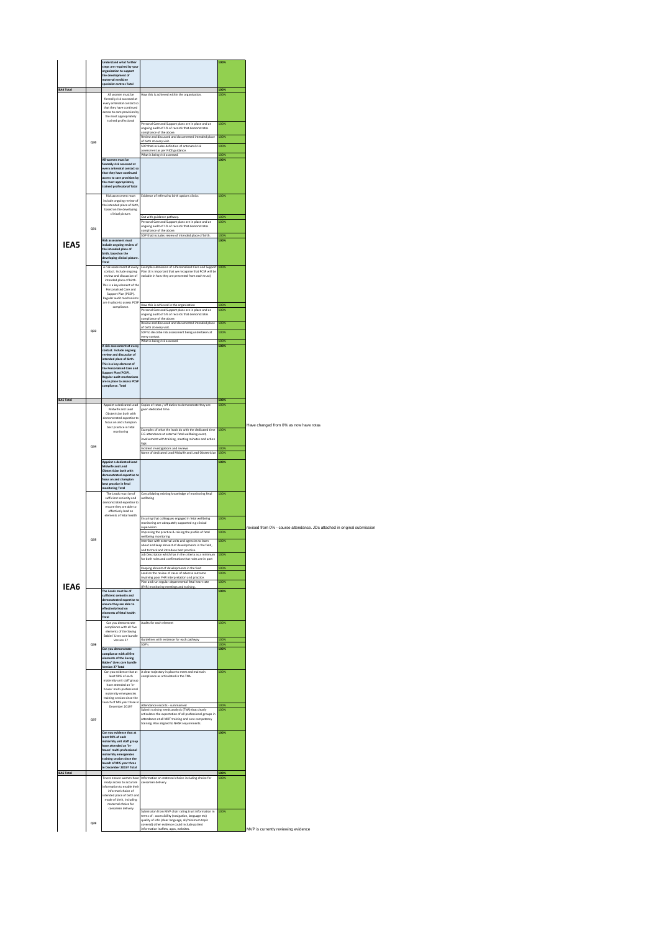|                   |     | Understand what further<br>steps are required by you<br>organisation to support<br>the development of<br>maternal medicine<br>specialist centres Total                                                                                                     |                                                                                                                                                                                                                                                            | 100%                 |                                                                          |
|-------------------|-----|------------------------------------------------------------------------------------------------------------------------------------------------------------------------------------------------------------------------------------------------------------|------------------------------------------------------------------------------------------------------------------------------------------------------------------------------------------------------------------------------------------------------------|----------------------|--------------------------------------------------------------------------|
| <b>IEA4 Total</b> |     | All women must be<br>formally risk assessed at<br>every antenatal contact so<br>that they have continued<br>access to care provision by<br>the most appropriately                                                                                          | How this is achieved within the organisation.                                                                                                                                                                                                              | 100%<br>100%         |                                                                          |
|                   | Q30 | trained professional                                                                                                                                                                                                                                       | Personal Care and Support plans are in place and an<br>ongoing audit of 1% of records that demonstrates<br>compliance of the above.<br>Review and discussed and documented intended place<br>of birth at every visit.                                      | 100%<br>100%         |                                                                          |
|                   |     |                                                                                                                                                                                                                                                            | SOP that includes definition of antenatal risk<br>assessment as per NICE guidance.<br>What is being risk assessed.                                                                                                                                         | 100%<br>100%         |                                                                          |
|                   |     | All women must be<br>formally risk assessed at<br>every antenatal contact s<br>that they have continued<br>access to care provision by<br>the most appropriately<br>trained professional Total                                                             |                                                                                                                                                                                                                                                            | 100%                 |                                                                          |
|                   |     | Risk assessment must<br>include ongoing review of<br>the intended place of birth<br>based on the developing<br>clinical picture.                                                                                                                           | Evidence of referral to birth options clinics                                                                                                                                                                                                              | 100%                 |                                                                          |
|                   | Q31 |                                                                                                                                                                                                                                                            | Out with guidance pathway.<br>Personal Care and Support plans are in place and an<br>ongoing audit of 1% of records that demonstrates<br>compliance of the above.<br>SOP that includes review of intended place of birth                                   | 100%<br>100%<br>100% |                                                                          |
| IEA5              |     | Risk assessment must<br>include ongoing review of<br>the intended place of<br>birth, based on the<br>developing clinical picture                                                                                                                           |                                                                                                                                                                                                                                                            | 100%                 |                                                                          |
|                   |     | Total<br>A risk assessment at every<br>contact. Include ongoing<br>review and discussion of<br>intended place of birth.<br>This is a key element of the<br>Personalised Care and<br>Support Plan (PCSP).<br>Regular audit mechanisms                       | Example submission of a Personalised Care and Support<br>Plan (It is important that we recognise that PCSP will be<br>variable in how they are presented from each trust)                                                                                  | 100%                 |                                                                          |
|                   |     | are in place to assess PCSP<br>compliance.                                                                                                                                                                                                                 | How this is achieved in the organisation<br>Personal Care and Support plans are in place and an<br>ongoing audit of 5% of records that demonstrates<br>compliance of the above.                                                                            | 100%<br>100%         |                                                                          |
|                   | Q33 |                                                                                                                                                                                                                                                            | Review and discussed and documented intended place<br>of birth at every visit.<br>SOP to describe risk assessment being undertaken at                                                                                                                      | 100%<br>100%         |                                                                          |
|                   |     | A risk assessment at ever                                                                                                                                                                                                                                  | every contact.<br>What is being risk assessed.                                                                                                                                                                                                             | 100%<br>100%         |                                                                          |
|                   |     | contact. Include ongoing<br>review and discussion of<br>intended place of birth.<br>This is a key element of<br><b>Ised Care and</b><br>the Person<br>Support Plan (PCSP).<br>Regular audit mechanisms<br>are in place to assess PCSP<br>compliance. Total |                                                                                                                                                                                                                                                            |                      |                                                                          |
| <b>IEAS Total</b> |     | Appoint a dedicated Lead                                                                                                                                                                                                                                   | Copies of rotas / off duties to demonstrate they are                                                                                                                                                                                                       | 100%<br>100%         |                                                                          |
|                   |     | Midwife and Lead<br>Obstetrician both with<br>demonstrated expertise to                                                                                                                                                                                    | given dedicated time.                                                                                                                                                                                                                                      |                      |                                                                          |
|                   |     | focus on and champion<br>best practice in fetal<br>monitoring                                                                                                                                                                                              | Examples of what the leads do with the dedicated time<br>E.G attendance at external fetal wellbeing event,<br>involvement with training, meeting minutes and action<br>logs                                                                                | 100%                 | Have changed from 0% as now have rotas                                   |
|                   | 034 |                                                                                                                                                                                                                                                            | Incident investigations and reviews<br>Name of dedicated Lead Midwife and Lead Obstetrician                                                                                                                                                                | 100%<br>100%         |                                                                          |
|                   |     | Appoint a dedicated Lead<br>Midwife and Lead<br>Obstetrician both with<br>demonstrated expertise to<br>focus on and champion<br>best practice in fetal<br>monitoring Total                                                                                 |                                                                                                                                                                                                                                                            | 100%                 |                                                                          |
|                   |     | The Leads must be of<br>sufficient seniority and<br>demonstrated expertise to<br>ensure they are able to<br>effectively lead on                                                                                                                            | Consolidating existing knowledge of monitoring fetal<br>wellbeing                                                                                                                                                                                          | 100%                 |                                                                          |
|                   |     | elements of fetal health                                                                                                                                                                                                                                   | Ensuring that colleagues engaged in fetal wellbeing<br>monitoring are adequately supported e.g clinical                                                                                                                                                    | 100%                 |                                                                          |
|                   | 035 |                                                                                                                                                                                                                                                            | supervision<br>Improving the practice & raising the profile of fetal<br>wellbeing monitoring                                                                                                                                                               | 100%                 | revised from 0% - course attendance. JDs attached in original submission |
|                   |     |                                                                                                                                                                                                                                                            | Interface with external units and agencies to learn<br>about and keep abreast of developments in the field,<br>and to track and introduce best practice.                                                                                                   | 100%                 |                                                                          |
|                   |     |                                                                                                                                                                                                                                                            | ob Description which has in the criteria<br>for both roles and confirmation that roles are in post                                                                                                                                                         |                      |                                                                          |
|                   |     |                                                                                                                                                                                                                                                            | Keeping abreast of developments in the field<br>Lead on the review of cases of adverse outcome<br>involving poor FHR interpretation and practice.                                                                                                          | 100%<br>100%         |                                                                          |
| IFA6              |     | The Leads must be of                                                                                                                                                                                                                                       | Plan and run regular departmental fetal heart rate<br>(FHR) monitoring meetings and training.                                                                                                                                                              | 100%<br>100%         |                                                                          |
|                   |     | sufficient seniority and<br>demonstrated expertise t<br>ensure they are able to<br>effectively lead on<br>elements of fetal health<br>Total                                                                                                                |                                                                                                                                                                                                                                                            |                      |                                                                          |
|                   |     | Can you demonstrate<br>compliance with all five<br>elements of the Saving                                                                                                                                                                                  | Audits for each element                                                                                                                                                                                                                                    | 100%                 |                                                                          |
|                   | Q36 | Babies' Lives care bundle<br>Version 2?                                                                                                                                                                                                                    | Guidelines with evidence for each pathway<br>SOP's                                                                                                                                                                                                         | 100%<br>100%         |                                                                          |
|                   |     | Can you demonstrate<br>compliance with all five<br>ele n<br>nents of the Saving<br>Bables' Lives care bundle<br>Version 2? Total                                                                                                                           |                                                                                                                                                                                                                                                            | 100%                 |                                                                          |
|                   |     | Can you evidence that at<br>least 90% of each<br>maternity unit staff group<br>have attended an 'in-<br>house' multi-professional<br>maternity emergencies<br>training session since the<br>launch of MIS year three in                                    | A clear trajectory in place to meet and maintain<br>compliance as articulated in the TNA.                                                                                                                                                                  | 100%                 |                                                                          |
|                   | Q37 | December 2019?                                                                                                                                                                                                                                             | Attendance records - summarised<br>Submit training needs analysis (TNA) that clearly<br>articulates the expectation of all professional groups in<br>attendance at all MDT training and core competency<br>training. Also aligned to NHSR requirements.    | 100%<br>100%         |                                                                          |
|                   |     | Can you evidence that at<br>least 90% of each<br>maternity unit staff group<br>have attended an 'in<br>house' multi-professional<br>naternity emergencies<br>training session since the<br>launch of MIS year three<br>in December 2019? Total             |                                                                                                                                                                                                                                                            | 100%                 |                                                                          |
| <b>IEA6 Total</b> |     | Trusts ensure women have                                                                                                                                                                                                                                   | Information on maternal choice including choice for                                                                                                                                                                                                        | 100%<br>100%         |                                                                          |
|                   |     | ready access to accurate<br>information to enable their<br>informed choice of<br>intended place of birth and<br>mode of birth, including<br>maternal choice for                                                                                            | caesarean delivery                                                                                                                                                                                                                                         |                      |                                                                          |
|                   | 039 | caesarean delivery                                                                                                                                                                                                                                         | Submission from MVP chair rating trust information in<br>terms of: accessibility (navigation, language etc)<br>quality of info (clear language, all/minimum topic<br>covered) other evidence could include patient<br>information leaflets, apps, websites | 100%                 | MVP is currently reviewing evidence                                      |
|                   |     |                                                                                                                                                                                                                                                            |                                                                                                                                                                                                                                                            |                      |                                                                          |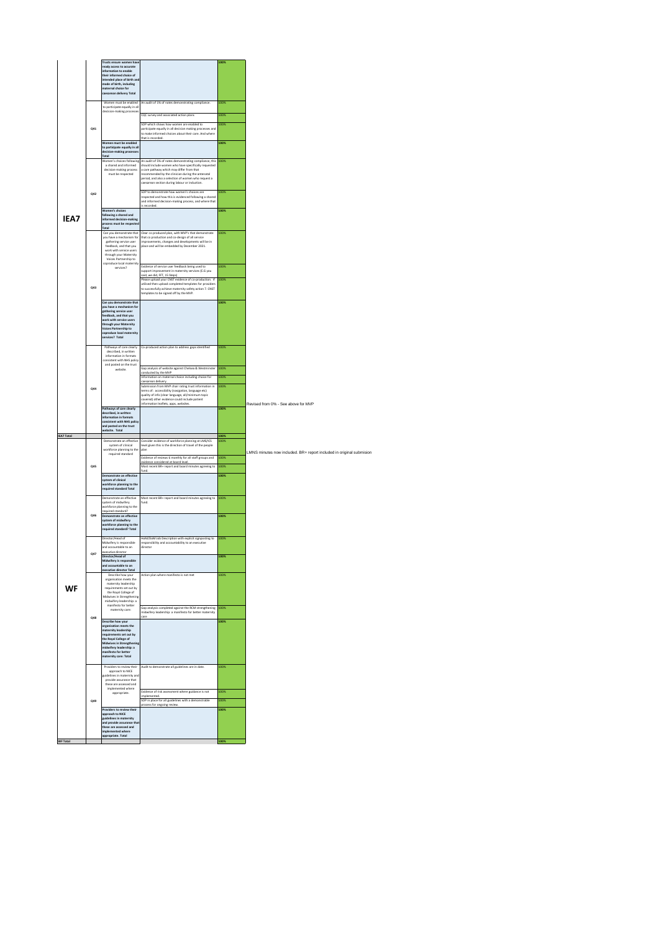|                   |     | Trusts ensure women have<br>eady access to accurate                       |                                                                                                                                     | 100%         |                                                                      |
|-------------------|-----|---------------------------------------------------------------------------|-------------------------------------------------------------------------------------------------------------------------------------|--------------|----------------------------------------------------------------------|
|                   |     | information to enable<br>their informed choice of                         |                                                                                                                                     |              |                                                                      |
|                   |     | intended place of birth ar<br>mode of birth, including                    |                                                                                                                                     |              |                                                                      |
|                   |     | maternal choice for<br>caesarean delivery Total                           |                                                                                                                                     |              |                                                                      |
|                   |     |                                                                           |                                                                                                                                     | 100%         |                                                                      |
|                   |     | Women must be enabled<br>to participate equally in all                    | An audit of 1% of notes demonstrating compliance.                                                                                   |              |                                                                      |
|                   |     | decision-making processes                                                 | CQC survey and associated action plans                                                                                              | 100%         |                                                                      |
|                   |     |                                                                           | SOP which shows how women are enabled to                                                                                            | 100%         |                                                                      |
|                   | Q41 |                                                                           | participate equally in all decision making processes and<br>to make informed choices about their care. And where                    |              |                                                                      |
|                   |     | Women must be enabled                                                     | that is recorded.                                                                                                                   | 100%         |                                                                      |
|                   |     | to participate equally in all<br>decision-making processes                |                                                                                                                                     |              |                                                                      |
|                   |     | Total<br>Women's choices following                                        | An audit of 5% of notes demonstrating compliance, this<br>should include women who have specifically requested                      | 100%         |                                                                      |
|                   |     | a shared and informed<br>decision-making process                          | a care pathway which may differ from that                                                                                           |              |                                                                      |
|                   |     | must be respected                                                         | recommended by the clinician during the antenatal<br>period, and also a selection of women who request a                            |              |                                                                      |
|                   |     |                                                                           | caesarean section during labour or induction.                                                                                       |              |                                                                      |
|                   | 042 |                                                                           | SOP to demonstrate how women's choices are<br>respected and how this is evidenced following a shared                                | 100%         |                                                                      |
|                   |     |                                                                           | and informed decision-making process, and where that<br>s recorded                                                                  |              |                                                                      |
|                   |     | Women's choices<br>following a shared and                                 |                                                                                                                                     | 100%         |                                                                      |
| IFA7              |     | informed decision-making<br>process must be respected                     |                                                                                                                                     |              |                                                                      |
|                   |     | Total                                                                     |                                                                                                                                     |              |                                                                      |
|                   |     | Can you demonstrate that<br>you have a mechanism for                      | Clear co produced plan, with MVP's that demonstrate<br>that co production and co-design of all service                              | 100%         |                                                                      |
|                   |     | gathering service user<br>feedback, and that you                          | improvements, changes and developments will be in<br>place and will be embedded by December 2021.                                   |              |                                                                      |
|                   |     | work with service users<br>through your Maternity                         |                                                                                                                                     |              |                                                                      |
|                   |     | Voices Partnership to<br>coproduce local maternity                        |                                                                                                                                     |              |                                                                      |
|                   |     | services?                                                                 | Evidence of service user feedback being used to<br>support improvement in maternity services (E.G you                               | 100%         |                                                                      |
|                   |     |                                                                           | aid, we did, FFT, 15 Steps)<br>Please upload your CNST evidence of co-production. If                                                | 100%         |                                                                      |
|                   | Q43 |                                                                           | utilised then upload completed templates for providers<br>to successfully achieve maternity safety action 7. CNST                   |              |                                                                      |
|                   |     |                                                                           | templates to be signed off by the MVP.                                                                                              |              |                                                                      |
|                   |     | Can you demonstrate that<br>you have a mechanism for                      |                                                                                                                                     | 100%         |                                                                      |
|                   |     | eathering service user<br>feedback, and that you                          |                                                                                                                                     |              |                                                                      |
|                   |     | work with service users<br>through your Maternity                         |                                                                                                                                     |              |                                                                      |
|                   |     | <b>Voices Partnership to</b><br>coproduce local maternity                 |                                                                                                                                     |              |                                                                      |
|                   |     | services? Total                                                           |                                                                                                                                     |              |                                                                      |
|                   |     | Pathways of care clearly                                                  | Co-produced action plan to address gaps identified                                                                                  | 100%         |                                                                      |
|                   |     | described, in written<br>information in formats                           |                                                                                                                                     |              |                                                                      |
|                   |     | consistent with NHS policy<br>and posted on the trust                     |                                                                                                                                     | 100%         |                                                                      |
|                   |     | website.                                                                  | Gap analysis of website against Chelsea & Westminster<br>conducted by the MVP<br>nformation on maternal choice including choice for |              |                                                                      |
|                   |     |                                                                           | raesarean delivery.                                                                                                                 | 100%         |                                                                      |
|                   | Q44 |                                                                           | Submission from MVP chair rating trust information in<br>terms of: accessibility (navigation, language etc)                         | 100%         |                                                                      |
|                   |     |                                                                           | quality of info (clear language, all/minimum topic<br>covered) other evidence could include patient                                 |              |                                                                      |
|                   |     | Pathways of care clearly                                                  | information leaflets, apps, websites.                                                                                               | 100%         | Revised from 0% - See above for MVP                                  |
|                   |     | described, in written                                                     |                                                                                                                                     |              |                                                                      |
|                   |     | information in formats                                                    |                                                                                                                                     |              |                                                                      |
|                   |     | consistent with NHS policy                                                |                                                                                                                                     |              |                                                                      |
|                   |     | and posted on the trust<br>website. Total                                 |                                                                                                                                     |              |                                                                      |
| <b>IEA7 Total</b> |     | Demonstrate an effective                                                  | Consider evidence of workforce planning at LMS/ICS                                                                                  | 100%<br>100% |                                                                      |
|                   |     | system of clinical<br>workforce planning to the                           | evel given this is the direction of travel of the people<br>olan                                                                    |              | LMNS minutes now included. BR+ report included in original submisior |
|                   |     | required standard                                                         | Evidence of reviews 6 monthly for all staff groups and                                                                              | 100%         |                                                                      |
|                   | Q45 |                                                                           | evidence considered at board level.<br>Most recent BR+ report and board minutes agreeing to<br>und                                  | 100%         |                                                                      |
|                   |     | Demonstrate an effective                                                  |                                                                                                                                     | 100%         |                                                                      |
|                   |     | system of clinical<br>workforce planning to the                           |                                                                                                                                     |              |                                                                      |
|                   |     | required standard Total                                                   |                                                                                                                                     |              |                                                                      |
|                   |     | Demonstrate an effective<br>system of midwifery                           | Most recent BR+ report and board minutes agreeing to<br>fund.                                                                       | 100%         |                                                                      |
|                   |     | workforce planning to the<br>required standard?                           |                                                                                                                                     |              |                                                                      |
|                   | 046 | Demonstrate an effective<br>system of midwifery                           |                                                                                                                                     | 100%         |                                                                      |
|                   |     | workforce planning to the<br>required standard? Total                     |                                                                                                                                     |              |                                                                      |
|                   |     | Director/Head of                                                          | HoM/DoM Job Description with explicit signposting to                                                                                | 100%         |                                                                      |
|                   |     | Midwifery is responsible<br>and accountable to an                         | responsibility and accountability to an executive<br>director                                                                       |              |                                                                      |
|                   |     | executive director<br>Director/Head of                                    |                                                                                                                                     | 100%         |                                                                      |
|                   |     | Midwifery is responsible<br>and accountable to an                         |                                                                                                                                     |              |                                                                      |
|                   |     | executive director Total                                                  |                                                                                                                                     |              |                                                                      |
|                   |     | Describe how your<br>organisation meets the                               | Action plan where manifesto is not met                                                                                              | 100%         |                                                                      |
| WF                |     | maternity leadership<br>requirements set out by                           |                                                                                                                                     |              |                                                                      |
|                   |     | the Royal College of<br>Midwives in Strengthening                         |                                                                                                                                     |              |                                                                      |
|                   |     | midwifery leadership: a<br>manifesto for better                           | Gap analysis completed against the RCM strengthening                                                                                | 100%         |                                                                      |
|                   | Q48 | maternity care:                                                           | midwifery leadership: a manifesto for better maternity                                                                              |              |                                                                      |
|                   |     | Describe how your                                                         |                                                                                                                                     | 100%         |                                                                      |
|                   |     | organisation meets the<br>maternity leadership<br>requirements set out by |                                                                                                                                     |              |                                                                      |
|                   |     | the Royal College of<br>Midwives in Strengthenis                          |                                                                                                                                     |              |                                                                      |
|                   |     | midwifery leadership: a                                                   |                                                                                                                                     |              |                                                                      |
|                   |     | manifesto for better<br>maternity care: Total                             |                                                                                                                                     |              |                                                                      |
|                   |     | Providers to review their                                                 | Audit to demonstrate all guidelines are in date.                                                                                    | 100%         |                                                                      |
|                   |     | approach to NICE<br>guidelines in maternity and                           |                                                                                                                                     |              |                                                                      |
|                   |     | provide assurance that<br>these are assessed and                          |                                                                                                                                     |              |                                                                      |
|                   |     | implemented where<br>appropriate.                                         | Evidence of risk assessment where guidance is not<br>implemented.                                                                   | 100%         |                                                                      |
|                   | Q49 |                                                                           | SOP in place for all guidelines with a demonstrable                                                                                 | 100%         |                                                                      |
|                   |     | Providers to review their                                                 | rocess for ongoing review.                                                                                                          | 100%         |                                                                      |
|                   |     | approach to NICE<br>guidelines in maternity                               |                                                                                                                                     |              |                                                                      |
|                   |     | and provide assurance tha<br>these are assessed and                       |                                                                                                                                     |              |                                                                      |
| <b>WF Total</b>   |     | implemented where<br>appropriate. Total                                   |                                                                                                                                     | 100%         |                                                                      |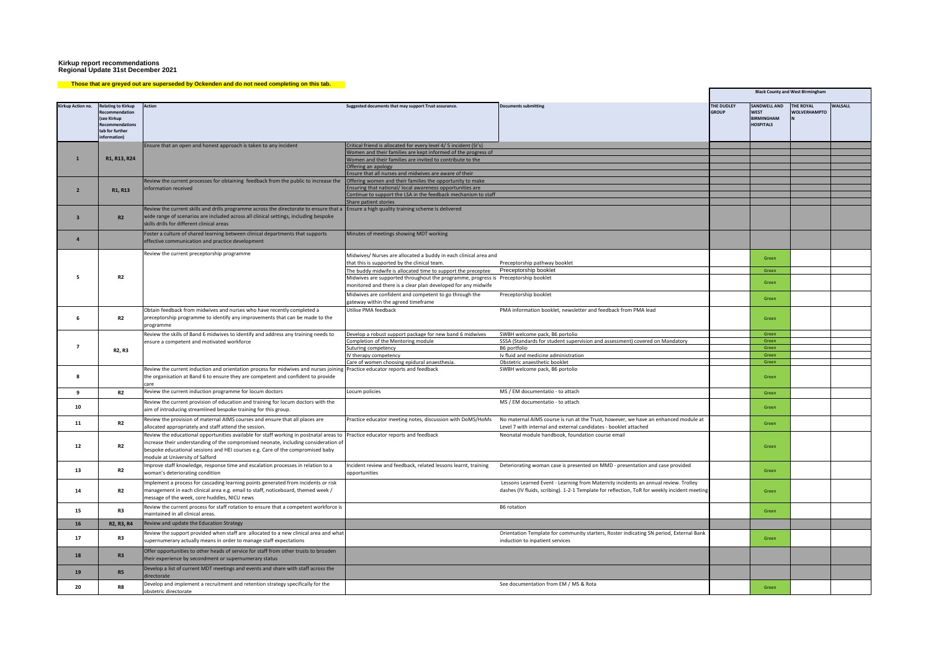#### **Those that are greyed out are superseded by Ockenden and do not need completing on this tab.**

|                         |                                                                                                                        |                                                                                                                                                                               |                                                                                                                  |                                                                                                                                                                                     |                            |                                                                             | <b>Black County and West Birmingham</b> |                |
|-------------------------|------------------------------------------------------------------------------------------------------------------------|-------------------------------------------------------------------------------------------------------------------------------------------------------------------------------|------------------------------------------------------------------------------------------------------------------|-------------------------------------------------------------------------------------------------------------------------------------------------------------------------------------|----------------------------|-----------------------------------------------------------------------------|-----------------------------------------|----------------|
| Kirkup Action no.       | <b>Relating to Kirkup</b><br>ecommendation<br>(see Kirkup<br><b>Recommendations</b><br>tab for further<br>information! | Action                                                                                                                                                                        | Suggested documents that may support Trust assurance.                                                            | <b>Documents submitting</b>                                                                                                                                                         | THE DUDLEY<br><b>GROUP</b> | <b>SANDWELL AND</b><br><b>WEST</b><br><b>BIRMINGHAM</b><br><b>HOSPITALS</b> | <b>THE ROYAL</b><br><b>WOLVERHAMPTO</b> | <b>WALSALL</b> |
|                         |                                                                                                                        | Ensure that an open and honest approach is taken to any incident                                                                                                              | Critical friend is allocated for every level 4/ 5 incident (SI's)                                                |                                                                                                                                                                                     |                            |                                                                             |                                         |                |
|                         |                                                                                                                        |                                                                                                                                                                               | Women and their families are kept informed of the progress of                                                    |                                                                                                                                                                                     |                            |                                                                             |                                         |                |
| $\mathbf{1}$            | R1, R13, R24                                                                                                           |                                                                                                                                                                               | Women and their families are invited to contribute to the                                                        |                                                                                                                                                                                     |                            |                                                                             |                                         |                |
|                         |                                                                                                                        |                                                                                                                                                                               | Offering an apology                                                                                              |                                                                                                                                                                                     |                            |                                                                             |                                         |                |
|                         |                                                                                                                        |                                                                                                                                                                               | Ensure that all nurses and midwives are aware of their                                                           |                                                                                                                                                                                     |                            |                                                                             |                                         |                |
|                         |                                                                                                                        | Review the current processes for obtaining feedback from the public to increase the                                                                                           | Offering women and their families the opportunity to make                                                        |                                                                                                                                                                                     |                            |                                                                             |                                         |                |
| $\overline{2}$          | R1, R13                                                                                                                | information received                                                                                                                                                          | Ensuring that national/ local awareness opportunities are                                                        |                                                                                                                                                                                     |                            |                                                                             |                                         |                |
|                         |                                                                                                                        |                                                                                                                                                                               | Continue to support the LSA in the feedback mechanism to staff<br>Share patient stories                          |                                                                                                                                                                                     |                            |                                                                             |                                         |                |
|                         |                                                                                                                        | Review the current skills and drills programme across the directorate to ensure that a Ensure a high quality training scheme is delivered                                     |                                                                                                                  |                                                                                                                                                                                     |                            |                                                                             |                                         |                |
| $\overline{\mathbf{3}}$ | R2                                                                                                                     | wide range of scenarios are included across all clinical settings, including bespoke<br>skills drills for different clinical areas                                            |                                                                                                                  |                                                                                                                                                                                     |                            |                                                                             |                                         |                |
| $\overline{a}$          |                                                                                                                        | Foster a culture of shared learning between clinical departments that supports<br>effective communication and practice development                                            | Minutes of meetings showing MDT working                                                                          |                                                                                                                                                                                     |                            |                                                                             |                                         |                |
|                         |                                                                                                                        | Review the current preceptorship programme                                                                                                                                    | Midwives/ Nurses are allocated a buddy in each clinical area and<br>that this is supported by the clinical team. | Preceptorship pathway booklet                                                                                                                                                       |                            | Green                                                                       |                                         |                |
|                         |                                                                                                                        |                                                                                                                                                                               | The buddy midwife is allocated time to support the preceptee                                                     | Preceptorship booklet                                                                                                                                                               |                            | Green                                                                       |                                         |                |
| -5                      | <b>R2</b>                                                                                                              |                                                                                                                                                                               | Midwives are supported throughout the programme, progress is Preceptorship booklet                               |                                                                                                                                                                                     |                            |                                                                             |                                         |                |
|                         |                                                                                                                        |                                                                                                                                                                               | monitored and there is a clear plan developed for any midwife                                                    |                                                                                                                                                                                     |                            | Green                                                                       |                                         |                |
|                         |                                                                                                                        |                                                                                                                                                                               | Midwives are confident and competent to go through the                                                           | Preceptorship booklet                                                                                                                                                               |                            |                                                                             |                                         |                |
|                         |                                                                                                                        |                                                                                                                                                                               | gateway within the agreed timeframe                                                                              |                                                                                                                                                                                     |                            | Green                                                                       |                                         |                |
|                         |                                                                                                                        | Obtain feedback from midwives and nurses who have recently completed a                                                                                                        | Utilise PMA feedback                                                                                             | PMA information booklet, newsletter and feedback from PMA lead                                                                                                                      |                            |                                                                             |                                         |                |
| 6                       | R <sub>2</sub>                                                                                                         | preceptorship programme to identify any improvements that can be made to the<br>programme                                                                                     |                                                                                                                  |                                                                                                                                                                                     |                            | Green                                                                       |                                         |                |
|                         |                                                                                                                        | Review the skills of Band 6 midwives to identify and address any training needs to                                                                                            | Develop a robust support package for new band 6 midwives                                                         | SWBH welcome pack, B6 portolio                                                                                                                                                      |                            | Green                                                                       |                                         |                |
|                         | R2, R3                                                                                                                 | ensure a competent and motivated workforce                                                                                                                                    | Completion of the Mentoring module                                                                               | SSSA (Standards for student supervision and assessment) covered on Mandatory                                                                                                        |                            | Green                                                                       |                                         |                |
| $\overline{7}$          |                                                                                                                        |                                                                                                                                                                               | Suturing competency                                                                                              | B6 portfolio                                                                                                                                                                        |                            | Green                                                                       |                                         |                |
|                         |                                                                                                                        |                                                                                                                                                                               | IV therapy competency                                                                                            | Iv fluid and medicine administration                                                                                                                                                |                            | Green                                                                       |                                         |                |
|                         |                                                                                                                        | Review the current induction and orientation process for midwives and nurses joining Practice educator reports and feedback                                                   | Care of women choosing epidural anaesthesia.                                                                     | Obstetric anaesthetic booklet<br>SWBH welcome pack, B6 portolio                                                                                                                     |                            | Green                                                                       |                                         |                |
| 8                       |                                                                                                                        | the organisation at Band 6 to ensure they are competent and confident to provide<br>care                                                                                      |                                                                                                                  |                                                                                                                                                                                     |                            | Green                                                                       |                                         |                |
| 9                       | <b>R2</b>                                                                                                              | Review the current induction programme for locum doctors                                                                                                                      | Locum policies                                                                                                   | MS / EM documentatio - to attach                                                                                                                                                    |                            | Green                                                                       |                                         |                |
| 10                      |                                                                                                                        | Review the current provision of education and training for locum doctors with the<br>aim of introducing streamlined bespoke training for this group.                          |                                                                                                                  | MS / EM documentatio - to attach                                                                                                                                                    |                            | Green                                                                       |                                         |                |
|                         |                                                                                                                        |                                                                                                                                                                               |                                                                                                                  |                                                                                                                                                                                     |                            |                                                                             |                                         |                |
| 11                      | <b>R2</b>                                                                                                              | Review the provision of maternal AIMS courses and ensure that all places are<br>allocated appropriately and staff attend the session.                                         | Practice educator meeting notes, discussion with DoMS/HoMs                                                       | No maternal AIMS course is run at the Trust, however, we have an enhanced module at<br>Level 7 with internal and external candidates - booklet attached                             |                            | Green                                                                       |                                         |                |
|                         |                                                                                                                        | Review the educational opportunities available for staff working in postnatal areas to<br>increase their understanding of the compromised neonate, including consideration of | Practice educator reports and feedback                                                                           | Neonatal module handbook, foundation course email                                                                                                                                   |                            |                                                                             |                                         |                |
| 12                      | R2                                                                                                                     | bespoke educational sessions and HEI courses e.g. Care of the compromised baby                                                                                                |                                                                                                                  |                                                                                                                                                                                     |                            | Green                                                                       |                                         |                |
|                         |                                                                                                                        | module at University of Salford                                                                                                                                               |                                                                                                                  |                                                                                                                                                                                     |                            |                                                                             |                                         |                |
|                         |                                                                                                                        | Improve staff knowledge, response time and escalation processes in relation to a                                                                                              | Incident review and feedback, related lessons learnt, training                                                   | Deteriorating woman case is presented on MMD - presentation and case provided                                                                                                       |                            |                                                                             |                                         |                |
| 13                      | <b>R2</b>                                                                                                              | woman's deteriorating condition                                                                                                                                               | opportunities                                                                                                    |                                                                                                                                                                                     |                            | Green                                                                       |                                         |                |
|                         |                                                                                                                        |                                                                                                                                                                               |                                                                                                                  |                                                                                                                                                                                     |                            |                                                                             |                                         |                |
|                         |                                                                                                                        | Implement a process for cascading learning points generated from incidents or risk                                                                                            |                                                                                                                  | Lessons Learned Event - Learning from Maternity incidents an annual review. Trolley<br>dashes (IV fluids, scribing). 1-2-1 Template for reflection, ToR for weekly incident meeting |                            |                                                                             |                                         |                |
| 14                      | <b>R2</b>                                                                                                              | management in each clinical area e.g. email to staff, noticeboard, themed week /                                                                                              |                                                                                                                  |                                                                                                                                                                                     |                            | Green                                                                       |                                         |                |
|                         |                                                                                                                        | message of the week, core huddles, NICU news                                                                                                                                  |                                                                                                                  |                                                                                                                                                                                     |                            |                                                                             |                                         |                |
| 15                      | R <sub>3</sub>                                                                                                         | Review the current process for staff rotation to ensure that a competent workforce is<br>maintained in all clinical areas.                                                    |                                                                                                                  | B6 rotation                                                                                                                                                                         |                            | Green                                                                       |                                         |                |
| 16                      | R2. R3. R4                                                                                                             | Review and update the Education Strategy                                                                                                                                      |                                                                                                                  |                                                                                                                                                                                     |                            |                                                                             |                                         |                |
|                         |                                                                                                                        | Review the support provided when staff are allocated to a new clinical area and what                                                                                          |                                                                                                                  | Orientation Template for community starters, Roster indicating SN period, External Bank                                                                                             |                            |                                                                             |                                         |                |
| 17                      | R3                                                                                                                     | supernumerary actually means in order to manage staff expectations                                                                                                            |                                                                                                                  | induction to inpatient services                                                                                                                                                     |                            | Green                                                                       |                                         |                |
| 18                      | R <sub>3</sub>                                                                                                         | Offer opportunities to other heads of service for staff from other trusts to broaden<br>their experience by secondment or supernumerary status                                |                                                                                                                  |                                                                                                                                                                                     |                            |                                                                             |                                         |                |
| 19                      | R5                                                                                                                     | Develop a list of current MDT meetings and events and share with staff across the<br>directorate                                                                              |                                                                                                                  |                                                                                                                                                                                     |                            |                                                                             |                                         |                |
|                         |                                                                                                                        | Develop and implement a recruitment and retention strategy specifically for the                                                                                               |                                                                                                                  | See documentation from EM / MS & Rota                                                                                                                                               |                            |                                                                             |                                         |                |
| 20                      | R8                                                                                                                     | obstetric directorate                                                                                                                                                         |                                                                                                                  |                                                                                                                                                                                     |                            | Green                                                                       |                                         |                |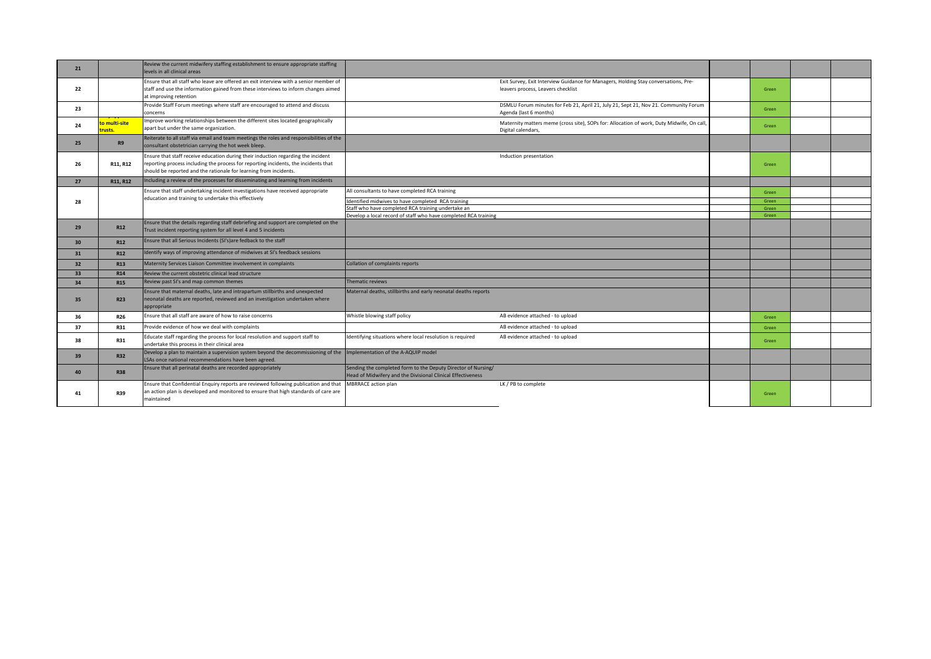| 21 |                          | Review the current midwifery staffing establishment to ensure appropriate staffing<br>levels in all clinical areas                                                                                                                            |                                                                                                                              |                                                                                                                           |       |  |
|----|--------------------------|-----------------------------------------------------------------------------------------------------------------------------------------------------------------------------------------------------------------------------------------------|------------------------------------------------------------------------------------------------------------------------------|---------------------------------------------------------------------------------------------------------------------------|-------|--|
| 22 |                          | Ensure that all staff who leave are offered an exit interview with a senior member of<br>staff and use the information gained from these interviews to inform changes aimed<br>at improving retention                                         |                                                                                                                              | Exit Survey, Exit Interview Guidance for Managers, Holding Stay conversations, Pre-<br>leavers process, Leavers checklist | Green |  |
| 23 |                          | Provide Staff Forum meetings where staff are encouraged to attend and discuss<br>concerns                                                                                                                                                     |                                                                                                                              | DSMLU Forum minutes for Feb 21, April 21, July 21, Sept 21, Nov 21. Community Forum<br>Agenda (last 6 months)             | Green |  |
| 24 | to multi-site<br>trusts. | Improve working relationships between the different sites located geographically<br>apart but under the same organization.                                                                                                                    |                                                                                                                              | Maternity matters meme (cross site), SOPs for: Allocation of work, Duty Midwife, On call,<br>Digital calendars.           | Green |  |
| 25 | <b>R9</b>                | Reiterate to all staff via email and team meetings the roles and responsibilities of the<br>consultant obstetrician carrying the hot week bleep.                                                                                              |                                                                                                                              |                                                                                                                           |       |  |
| 26 | R11, R12                 | Ensure that staff receive education during their induction regarding the incident<br>reporting process including the process for reporting incidents, the incidents that<br>should be reported and the rationale for learning from incidents. |                                                                                                                              | Induction presentation                                                                                                    | Green |  |
| 27 | R11, R12                 | Including a review of the processes for disseminating and learning from incidents                                                                                                                                                             |                                                                                                                              |                                                                                                                           |       |  |
|    |                          | Ensure that staff undertaking incident investigations have received appropriate                                                                                                                                                               | All consultants to have completed RCA training                                                                               |                                                                                                                           | Green |  |
| 28 |                          | education and training to undertake this effectively                                                                                                                                                                                          | Identified midwives to have completed RCA training                                                                           |                                                                                                                           | Green |  |
|    |                          |                                                                                                                                                                                                                                               | Staff who have completed RCA training undertake an                                                                           |                                                                                                                           | Green |  |
|    |                          |                                                                                                                                                                                                                                               | Develop a local record of staff who have completed RCA training                                                              |                                                                                                                           | Green |  |
| 29 | <b>R12</b>               | Ensure that the details regarding staff debriefing and support are completed on the<br>Trust incident reporting system for all level 4 and 5 incidents                                                                                        |                                                                                                                              |                                                                                                                           |       |  |
| 30 | R12                      | Ensure that all Serious Incidents (SI's) are fedback to the staff                                                                                                                                                                             |                                                                                                                              |                                                                                                                           |       |  |
| 31 | <b>R12</b>               | Identify ways of improving attendance of midwives at SI's feedback sessions                                                                                                                                                                   |                                                                                                                              |                                                                                                                           |       |  |
| 32 | R <sub>13</sub>          | Maternity Services Liaison Committee involvement in complaints                                                                                                                                                                                | Collation of complaints reports                                                                                              |                                                                                                                           |       |  |
| 33 | R <sub>14</sub>          | Review the current obstetric clinical lead structure                                                                                                                                                                                          |                                                                                                                              |                                                                                                                           |       |  |
| 34 | <b>R15</b>               | Review past SI's and map common themes                                                                                                                                                                                                        | Thematic reviews                                                                                                             |                                                                                                                           |       |  |
| 35 | <b>R23</b>               | Ensure that maternal deaths, late and intrapartum stillbirths and unexpected<br>neonatal deaths are reported, reviewed and an investigation undertaken where<br>appropriate                                                                   | Maternal deaths, stillbirths and early neonatal deaths reports                                                               |                                                                                                                           |       |  |
| 36 | <b>R26</b>               | Ensure that all staff are aware of how to raise concerns                                                                                                                                                                                      | Whistle blowing staff policy                                                                                                 | AB evidence attached - to upload                                                                                          | Green |  |
| 37 | <b>R31</b>               | Provide evidence of how we deal with complaints                                                                                                                                                                                               |                                                                                                                              | AB evidence attached - to upload                                                                                          | Green |  |
| 38 | <b>R31</b>               | Educate staff regarding the process for local resolution and support staff to<br>undertake this process in their clinical area                                                                                                                | Identifying situations where local resolution is required                                                                    | AB evidence attached - to upload                                                                                          | Green |  |
| 39 | <b>R32</b>               | Develop a plan to maintain a supervision system beyond the decommissioning of the<br>LSAs once national recommendations have been agreed.                                                                                                     | Implementation of the A-AQUIP model                                                                                          |                                                                                                                           |       |  |
| 40 | <b>R38</b>               | Ensure that all perinatal deaths are recorded appropriately                                                                                                                                                                                   | Sending the completed form to the Deputy Director of Nursing/<br>Head of Midwifery and the Divisional Clinical Effectiveness |                                                                                                                           |       |  |
| 41 | R39                      | Ensure that Confidential Enquiry reports are reviewed following publication and that<br>an action plan is developed and monitored to ensure that high standards of care are<br>maintained                                                     | <b>MBRRACE</b> action plan                                                                                                   | LK / PB to complete                                                                                                       | Green |  |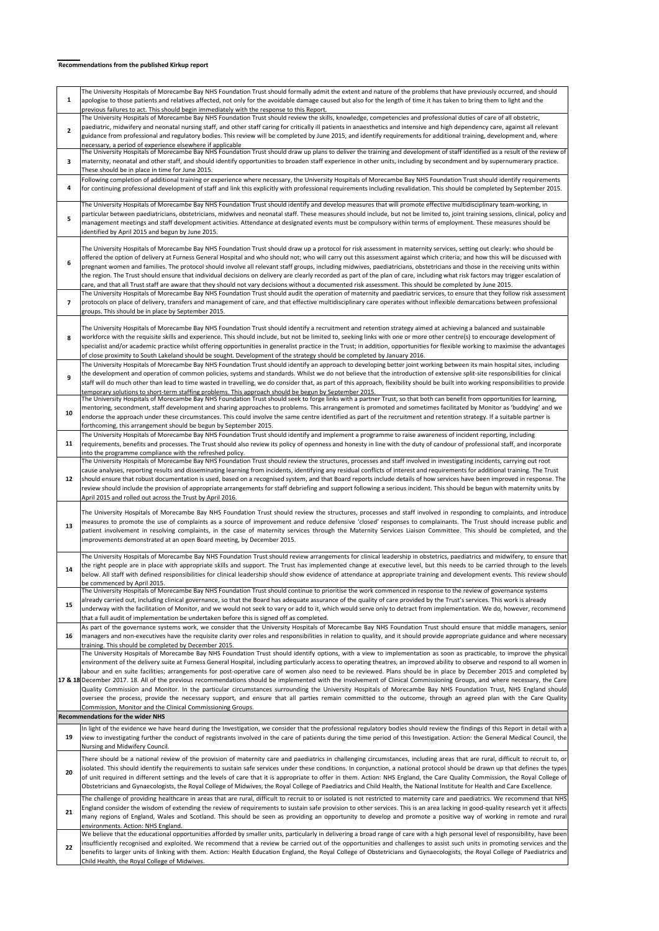#### **Recommendations from the published Kirkup report**

| $\mathbf{1}$   | The University Hospitals of Morecambe Bay NHS Foundation Trust should formally admit the extent and nature of the problems that have previously occurred, and should<br>apologise to those patients and relatives affected, not only for the avoidable damage caused but also for the length of time it has taken to bring them to light and the<br>previous failures to act. This should begin immediately with the response to this Report.                                                                                                                                                                                                                                                                                                                                                                                                                                                                                                                                                                                                                                                               |
|----------------|-------------------------------------------------------------------------------------------------------------------------------------------------------------------------------------------------------------------------------------------------------------------------------------------------------------------------------------------------------------------------------------------------------------------------------------------------------------------------------------------------------------------------------------------------------------------------------------------------------------------------------------------------------------------------------------------------------------------------------------------------------------------------------------------------------------------------------------------------------------------------------------------------------------------------------------------------------------------------------------------------------------------------------------------------------------------------------------------------------------|
| $\overline{2}$ | The University Hospitals of Morecambe Bay NHS Foundation Trust should review the skills, knowledge, competencies and professional duties of care of all obstetric,<br>paediatric, midwifery and neonatal nursing staff, and other staff caring for critically ill patients in anaesthetics and intensive and high dependency care, against all relevant<br>guidance from professional and regulatory bodies. This review will be completed by June 2015, and identify requirements for additional training, development and, where<br>necessary, a period of experience elsewhere if applicable                                                                                                                                                                                                                                                                                                                                                                                                                                                                                                             |
| 3              | The University Hospitals of Morecambe Bay NHS Foundation Trust should draw up plans to deliver the training and development of staff identified as a result of the review of<br>maternity, neonatal and other staff, and should identify opportunities to broaden staff experience in other units, including by secondment and by supernumerary practice.<br>These should be in place in time for June 2015.                                                                                                                                                                                                                                                                                                                                                                                                                                                                                                                                                                                                                                                                                                |
| 4              | Following completion of additional training or experience where necessary, the University Hospitals of Morecambe Bay NHS Foundation Trust should identify requirements<br>for continuing professional development of staff and link this explicitly with professional requirements including revalidation. This should be completed by September 2015.                                                                                                                                                                                                                                                                                                                                                                                                                                                                                                                                                                                                                                                                                                                                                      |
|                | The University Hospitals of Morecambe Bay NHS Foundation Trust should identify and develop measures that will promote effective multidisciplinary team-working, in                                                                                                                                                                                                                                                                                                                                                                                                                                                                                                                                                                                                                                                                                                                                                                                                                                                                                                                                          |
| 5              | particular between paediatricians, obstetricians, midwives and neonatal staff. These measures should include, but not be limited to, joint training sessions, clinical, policy and<br>management meetings and staff development activities. Attendance at designated events must be compulsory within terms of employment. These measures should be<br>identified by April 2015 and begun by June 2015.                                                                                                                                                                                                                                                                                                                                                                                                                                                                                                                                                                                                                                                                                                     |
| 6              | The University Hospitals of Morecambe Bay NHS Foundation Trust should draw up a protocol for risk assessment in maternity services, setting out clearly: who should be<br>offered the option of delivery at Furness General Hospital and who should not; who will carry out this assessment against which criteria; and how this will be discussed with<br>pregnant women and families. The protocol should involve all relevant staff groups, including midwives, paediatricians, obstetricians and those in the receiving units within<br>the region. The Trust should ensure that individual decisions on delivery are clearly recorded as part of the plan of care, including what risk factors may trigger escalation of<br>care, and that all Trust staff are aware that they should not vary decisions without a documented risk assessment. This should be completed by June 2015.                                                                                                                                                                                                                  |
| 7              | The University Hospitals of Morecambe Bay NHS Foundation Trust should audit the operation of maternity and paediatric services, to ensure that they follow risk assessment<br>protocols on place of delivery, transfers and management of care, and that effective multidisciplinary care operates without inflexible demarcations between professional<br>groups. This should be in place by September 2015.                                                                                                                                                                                                                                                                                                                                                                                                                                                                                                                                                                                                                                                                                               |
| 8              | The University Hospitals of Morecambe Bay NHS Foundation Trust should identify a recruitment and retention strategy aimed at achieving a balanced and sustainable<br>workforce with the requisite skills and experience. This should include, but not be limited to, seeking links with one or more other centre(s) to encourage development of<br>specialist and/or academic practice whilst offering opportunities in generalist practice in the Trust; in addition, opportunities for flexible working to maximise the advantages<br>of close proximity to South Lakeland should be sought. Development of the strategy should be completed by January 2016.                                                                                                                                                                                                                                                                                                                                                                                                                                             |
| 9              | The University Hospitals of Morecambe Bay NHS Foundation Trust should identify an approach to developing better joint working between its main hospital sites, including<br>the development and operation of common policies, systems and standards. Whilst we do not believe that the introduction of extensive split-site responsibilities for clinical<br>staff will do much other than lead to time wasted in travelling, we do consider that, as part of this approach, flexibility should be built into working responsibilities to provide<br>temporary solutions to short-term staffing problems. This approach should be begun by September 2015.                                                                                                                                                                                                                                                                                                                                                                                                                                                  |
| 10             | The University Hospitals of Morecambe Bay NHS Foundation Trust should seek to forge links with a partner Trust, so that both can benefit from opportunities for learning,<br>mentoring, secondment, staff development and sharing approaches to problems. This arrangement is promoted and sometimes facilitated by Monitor as 'buddying' and we<br>endorse the approach under these circumstances. This could involve the same centre identified as part of the recruitment and retention strategy. If a suitable partner is<br>forthcoming, this arrangement should be begun by September 2015.                                                                                                                                                                                                                                                                                                                                                                                                                                                                                                           |
| 11             | The University Hospitals of Morecambe Bay NHS Foundation Trust should identify and implement a programme to raise awareness of incident reporting, including<br>requirements, benefits and processes. The Trust should also review its policy of openness and honesty in line with the duty of candour of professional staff, and incorporate<br>into the programme compliance with the refreshed policy.                                                                                                                                                                                                                                                                                                                                                                                                                                                                                                                                                                                                                                                                                                   |
| 12             | The University Hospitals of Morecambe Bay NHS Foundation Trust should review the structures, processes and staff involved in investigating incidents, carrying out root<br>cause analyses, reporting results and disseminating learning from incidents, identifying any residual conflicts of interest and requirements for additional training. The Trust<br>should ensure that robust documentation is used, based on a recognised system, and that Board reports include details of how services have been improved in response. The<br>review should include the provision of appropriate arrangements for staff debriefing and support following a serious incident. This should be begun with maternity units by<br>April 2015 and rolled out across the Trust by April 2016.                                                                                                                                                                                                                                                                                                                         |
| 13             | The University Hospitals of Morecambe Bay NHS Foundation Trust should review the structures, processes and staff involved in responding to complaints, and introduce<br>measures to promote the use of complaints as a source of improvement and reduce defensive 'closed' responses to complainants. The Trust should increase public and<br>patient involvement in resolving complaints, in the case of maternity services through the Maternity Services Liaison Committee. This should be completed, and the<br>improvements demonstrated at an open Board meeting, by December 2015.                                                                                                                                                                                                                                                                                                                                                                                                                                                                                                                   |
| 14             | The University Hospitals of Morecambe Bay NHS Foundation Trust should review arrangements for clinical leadership in obstetrics, paediatrics and midwifery, to ensure that<br>the right people are in place with appropriate skills and support. The Trust has implemented change at executive level, but this needs to be carried through to the levels<br>below. All staff with defined responsibilities for clinical leadership should show evidence of attendance at appropriate training and development events. This review should<br>be commenced by April 2015.                                                                                                                                                                                                                                                                                                                                                                                                                                                                                                                                     |
| 15             | The University Hospitals of Morecambe Bay NHS Foundation Trust should continue to prioritise the work commenced in response to the review of governance systems<br>already carried out, including clinical governance, so that the Board has adequate assurance of the quality of care provided by the Trust's services. This work is already<br>underway with the facilitation of Monitor, and we would not seek to vary or add to it, which would serve only to detract from implementation. We do, however, recommend<br>that a full audit of implementation be undertaken before this is signed off as completed.                                                                                                                                                                                                                                                                                                                                                                                                                                                                                       |
| 16             | As part of the governance systems work, we consider that the University Hospitals of Morecambe Bay NHS Foundation Trust should ensure that middle managers, senior<br>managers and non-executives have the requisite clarity over roles and responsibilities in relation to quality, and it should provide appropriate guidance and where necessary<br>training. This should be completed by December 2015.                                                                                                                                                                                                                                                                                                                                                                                                                                                                                                                                                                                                                                                                                                 |
|                | The University Hospitals of Morecambe Bay NHS Foundation Trust should identify options, with a view to implementation as soon as practicable, to improve the physical<br>environment of the delivery suite at Furness General Hospital, including particularly access to operating theatres, an improved ability to observe and respond to all women in<br>labour and en suite facilities; arrangements for post-operative care of women also need to be reviewed. Plans should be in place by December 2015 and completed by<br>17 & 18 December 2017. 18. All of the previous recommendations should be implemented with the involvement of Clinical Commissioning Groups, and where necessary, the Care<br>Quality Commission and Monitor. In the particular circumstances surrounding the University Hospitals of Morecambe Bay NHS Foundation Trust, NHS England should<br>oversee the process, provide the necessary support, and ensure that all parties remain committed to the outcome, through an agreed plan with the Care Quality<br>Commission, Monitor and the Clinical Commissioning Groups. |
|                | <b>Recommendations for the wider NHS</b>                                                                                                                                                                                                                                                                                                                                                                                                                                                                                                                                                                                                                                                                                                                                                                                                                                                                                                                                                                                                                                                                    |
| 19             | In light of the evidence we have heard during the Investigation, we consider that the professional regulatory bodies should review the findings of this Report in detail with a<br>view to investigating further the conduct of registrants involved in the care of patients during the time period of this Investigation. Action: the General Medical Council, the<br>Nursing and Midwifery Council.                                                                                                                                                                                                                                                                                                                                                                                                                                                                                                                                                                                                                                                                                                       |
| 20             | There should be a national review of the provision of maternity care and paediatrics in challenging circumstances, including areas that are rural, difficult to recruit to, or<br>isolated. This should identify the requirements to sustain safe services under these conditions. In conjunction, a national protocol should be drawn up that defines the types<br>of unit required in different settings and the levels of care that it is appropriate to offer in them. Action: NHS England, the Care Quality Commission, the Royal College of<br>Obstetricians and Gynaecologists, the Royal College of Midwives, the Royal College of Paediatrics and Child Health, the National Institute for Health and Care Excellence.                                                                                                                                                                                                                                                                                                                                                                             |
| 21             | The challenge of providing healthcare in areas that are rural, difficult to recruit to or isolated is not restricted to maternity care and paediatrics. We recommend that NHS<br>England consider the wisdom of extending the review of requirements to sustain safe provision to other services. This is an area lacking in good-quality research yet it affects<br>many regions of England, Wales and Scotland. This should be seen as providing an opportunity to develop and promote a positive way of working in remote and rural<br>environments. Action: NHS England.                                                                                                                                                                                                                                                                                                                                                                                                                                                                                                                                |
| 22             | We believe that the educational opportunities afforded by smaller units, particularly in delivering a broad range of care with a high personal level of responsibility, have been<br>insufficiently recognised and exploited. We recommend that a review be carried out of the opportunities and challenges to assist such units in promoting services and the<br>benefits to larger units of linking with them. Action: Health Education England, the Royal College of Obstetricians and Gynaecologists, the Royal College of Paediatrics and<br>Child Health, the Royal College of Midwives.                                                                                                                                                                                                                                                                                                                                                                                                                                                                                                              |